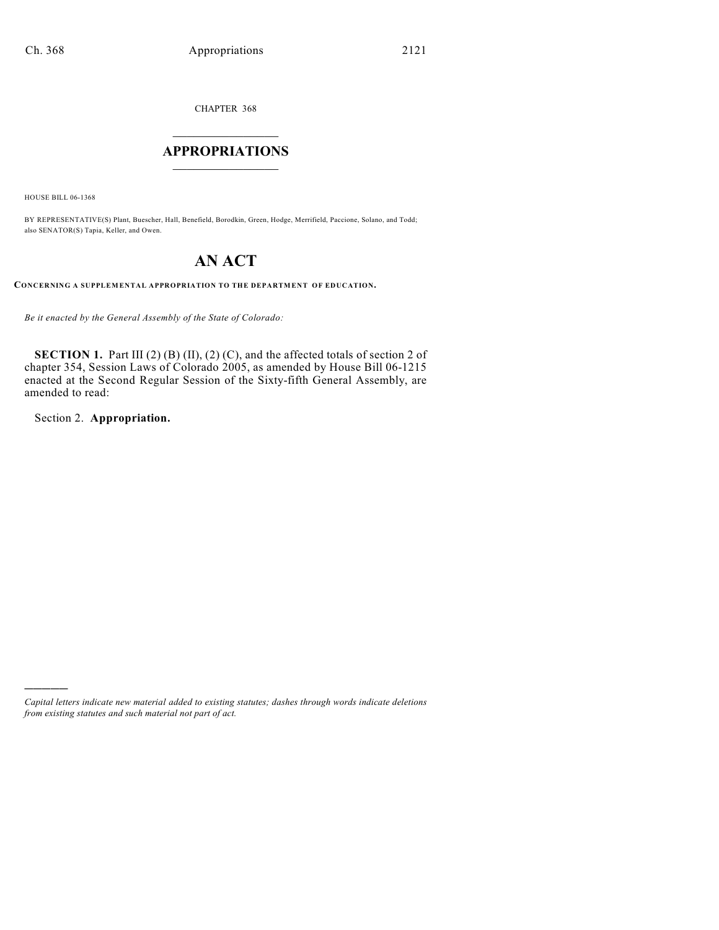CHAPTER 368

### $\mathcal{L}_\text{max}$  . The set of the set of the set of the set of the set of the set of the set of the set of the set of the set of the set of the set of the set of the set of the set of the set of the set of the set of the set **APPROPRIATIONS**  $\_$   $\_$   $\_$   $\_$   $\_$   $\_$   $\_$   $\_$

HOUSE BILL 06-1368

BY REPRESENTATIVE(S) Plant, Buescher, Hall, Benefield, Borodkin, Green, Hodge, Merrifield, Paccione, Solano, and Todd; also SENATOR(S) Tapia, Keller, and Owen.

# **AN ACT**

**CONCERNING A SUPPLEMENTAL APPROPRIATION TO THE DEPARTMENT OF EDUCATION.**

*Be it enacted by the General Assembly of the State of Colorado:*

**SECTION 1.** Part III (2) (B) (II), (2) (C), and the affected totals of section 2 of chapter 354, Session Laws of Colorado 2005, as amended by House Bill 06-1215 enacted at the Second Regular Session of the Sixty-fifth General Assembly, are amended to read:

Section 2. **Appropriation.**

)))))

*Capital letters indicate new material added to existing statutes; dashes through words indicate deletions from existing statutes and such material not part of act.*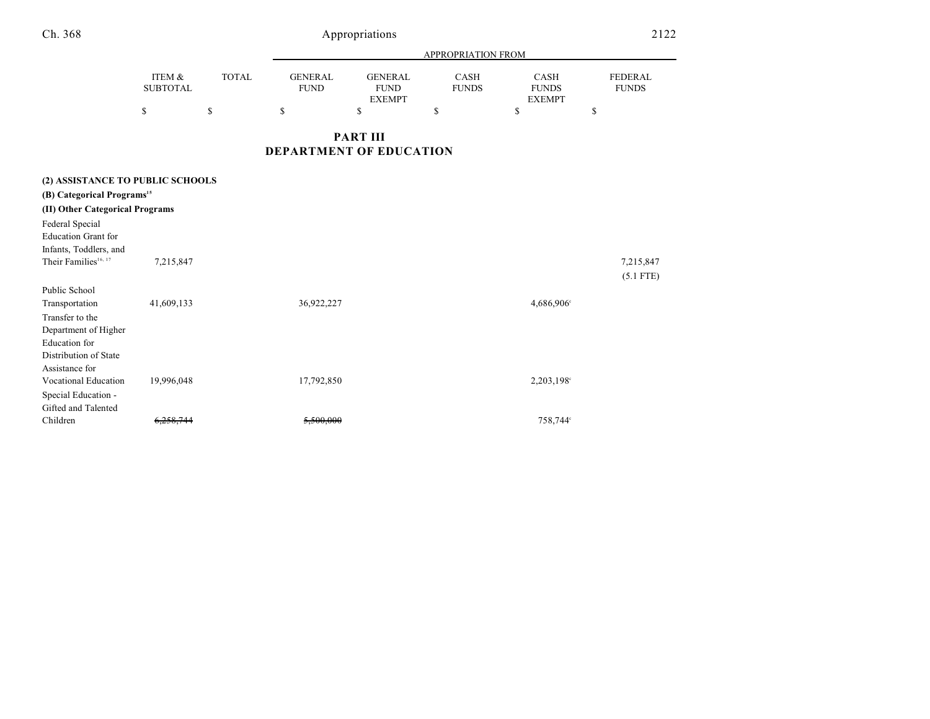| Ch. 368                                                                 |                           | 2122         |                                |                                                |                             |                                              |                                |
|-------------------------------------------------------------------------|---------------------------|--------------|--------------------------------|------------------------------------------------|-----------------------------|----------------------------------------------|--------------------------------|
|                                                                         | APPROPRIATION FROM        |              |                                |                                                |                             |                                              |                                |
|                                                                         | ITEM &<br><b>SUBTOTAL</b> | <b>TOTAL</b> | <b>GENERAL</b><br><b>FUND</b>  | <b>GENERAL</b><br><b>FUND</b><br><b>EXEMPT</b> | <b>CASH</b><br><b>FUNDS</b> | <b>CASH</b><br><b>FUNDS</b><br><b>EXEMPT</b> | <b>FEDERAL</b><br><b>FUNDS</b> |
|                                                                         | \$                        | \$           | \$                             | \$                                             | \$                          | \$                                           | \$                             |
|                                                                         |                           |              | <b>DEPARTMENT OF EDUCATION</b> | <b>PART III</b>                                |                             |                                              |                                |
| (2) ASSISTANCE TO PUBLIC SCHOOLS                                        |                           |              |                                |                                                |                             |                                              |                                |
| (B) Categorical Programs <sup>15</sup>                                  |                           |              |                                |                                                |                             |                                              |                                |
| (II) Other Categorical Programs                                         |                           |              |                                |                                                |                             |                                              |                                |
| Federal Special<br><b>Education Grant for</b><br>Infants, Toddlers, and |                           |              |                                |                                                |                             |                                              |                                |
| Their Families <sup>16, 17</sup>                                        | 7,215,847                 |              |                                |                                                |                             |                                              | 7,215,847<br>$(5.1$ FTE)       |
| Public School                                                           |                           |              |                                |                                                |                             |                                              |                                |
| Transportation                                                          | 41,609,133                |              | 36,922,227                     |                                                |                             | 4,686,906 <sup>c</sup>                       |                                |
| Transfer to the                                                         |                           |              |                                |                                                |                             |                                              |                                |
| Department of Higher                                                    |                           |              |                                |                                                |                             |                                              |                                |
| <b>Education</b> for                                                    |                           |              |                                |                                                |                             |                                              |                                |
| Distribution of State                                                   |                           |              |                                |                                                |                             |                                              |                                |
| Assistance for                                                          |                           |              |                                |                                                |                             |                                              |                                |
| <b>Vocational Education</b>                                             | 19,996,048                |              | 17,792,850                     |                                                |                             | 2,203,198°                                   |                                |
| Special Education -                                                     |                           |              |                                |                                                |                             |                                              |                                |
| Gifted and Talented                                                     |                           |              |                                |                                                |                             |                                              |                                |
| Children                                                                | 6,258,744                 |              | 5.500.000                      |                                                |                             | 758,744°                                     |                                |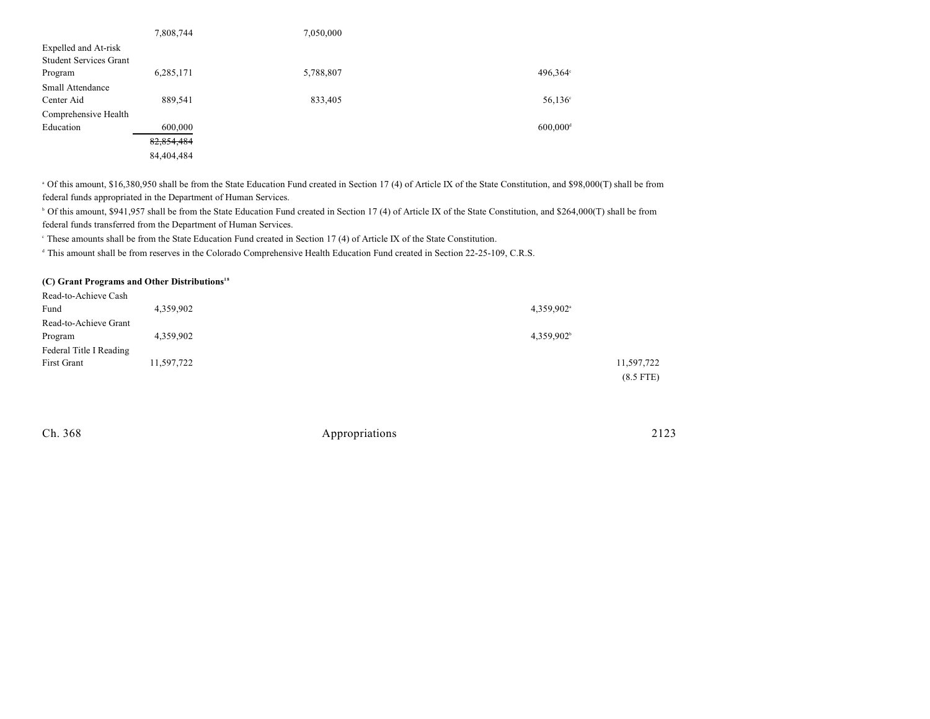|                               | 7,808,744  | 7,050,000 |                        |
|-------------------------------|------------|-----------|------------------------|
| Expelled and At-risk          |            |           |                        |
| <b>Student Services Grant</b> |            |           |                        |
| Program                       | 6,285,171  | 5,788,807 | 496,364°               |
| <b>Small Attendance</b>       |            |           |                        |
| Center Aid                    | 889,541    | 833,405   | $56,136^{\circ}$       |
| Comprehensive Health          |            |           |                        |
| Education                     | 600,000    |           | $600,000$ <sup>d</sup> |
|                               | 82,854,484 |           |                        |
|                               | 84,404,484 |           |                        |

<sup>a</sup> Of this amount, \$16,380,950 shall be from the State Education Fund created in Section 17 (4) of Article IX of the State Constitution, and \$98,000(T) shall be from federal funds appropriated in the Department of Human Services.

<sup>b</sup> Of this amount, \$941,957 shall be from the State Education Fund created in Section 17 (4) of Article IX of the State Constitution, and \$264,000(T) shall be from federal funds transferred from the Department of Human Services.

<sup>e</sup> These amounts shall be from the State Education Fund created in Section 17 (4) of Article IX of the State Constitution.

<sup>d</sup> This amount shall be from reserves in the Colorado Comprehensive Health Education Fund created in Section 22-25-109, C.R.S.

#### **(C) Grant Programs and Other Distributions 18**

| Read-to-Achieve Cash    |            |                        |
|-------------------------|------------|------------------------|
| Fund                    | 4,359,902  | 4,359,902 <sup>a</sup> |
| Read-to-Achieve Grant   |            |                        |
| Program                 | 4,359,902  | 4,359,902              |
| Federal Title I Reading |            |                        |
| First Grant             | 11,597,722 | 11,597,722             |
|                         |            | $(8.5$ FTE)            |

Ch. 368 Appropriations 2123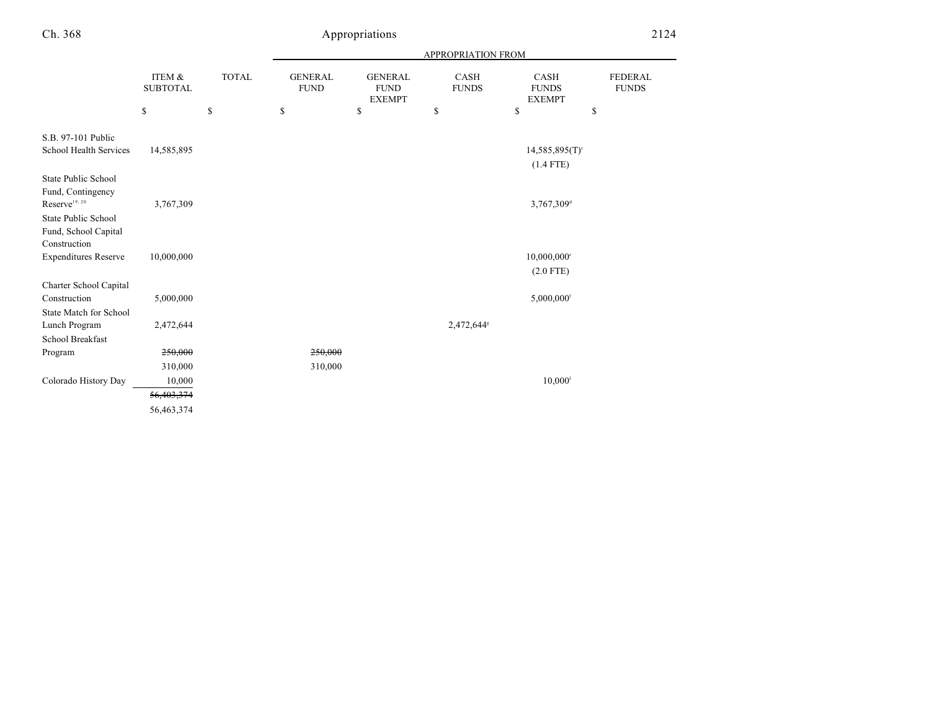## Appropriations 2124

|                                          |                           |              | APPROPRIATION FROM            |                                                |                        |                                              |                                |
|------------------------------------------|---------------------------|--------------|-------------------------------|------------------------------------------------|------------------------|----------------------------------------------|--------------------------------|
|                                          | ITEM &<br><b>SUBTOTAL</b> | <b>TOTAL</b> | <b>GENERAL</b><br><b>FUND</b> | <b>GENERAL</b><br><b>FUND</b><br><b>EXEMPT</b> | CASH<br><b>FUNDS</b>   | <b>CASH</b><br><b>FUNDS</b><br><b>EXEMPT</b> | <b>FEDERAL</b><br><b>FUNDS</b> |
|                                          | \$                        | \$           | \$                            | \$                                             | \$                     | \$                                           | \$                             |
| S.B. 97-101 Public                       |                           |              |                               |                                                |                        |                                              |                                |
| School Health Services                   | 14,585,895                |              |                               |                                                |                        | $14,585,895(T)$ <sup>c</sup>                 |                                |
|                                          |                           |              |                               |                                                |                        | $(1.4$ FTE)                                  |                                |
| State Public School<br>Fund, Contingency |                           |              |                               |                                                |                        |                                              |                                |
| $Reserve^{19, 20}$                       | 3,767,309                 |              |                               |                                                |                        | 3,767,309 <sup>d</sup>                       |                                |
| State Public School                      |                           |              |                               |                                                |                        |                                              |                                |
| Fund, School Capital<br>Construction     |                           |              |                               |                                                |                        |                                              |                                |
| <b>Expenditures Reserve</b>              | 10,000,000                |              |                               |                                                |                        | 10,000,000°                                  |                                |
|                                          |                           |              |                               |                                                |                        | $(2.0$ FTE)                                  |                                |
| Charter School Capital<br>Construction   |                           |              |                               |                                                |                        |                                              |                                |
| <b>State Match for School</b>            | 5,000,000                 |              |                               |                                                |                        | $5,000,000$ <sup>f</sup>                     |                                |
| Lunch Program                            | 2,472,644                 |              |                               |                                                | 2,472,644 <sup>s</sup> |                                              |                                |
| School Breakfast                         |                           |              |                               |                                                |                        |                                              |                                |
| Program                                  | 250,000                   |              | 250,000                       |                                                |                        |                                              |                                |
|                                          | 310,000                   |              | 310,000                       |                                                |                        |                                              |                                |
| Colorado History Day                     | 10,000                    |              |                               |                                                |                        | $10,000$ <sup>f</sup>                        |                                |
|                                          | 56,403,374                |              |                               |                                                |                        |                                              |                                |
|                                          | 56,463,374                |              |                               |                                                |                        |                                              |                                |